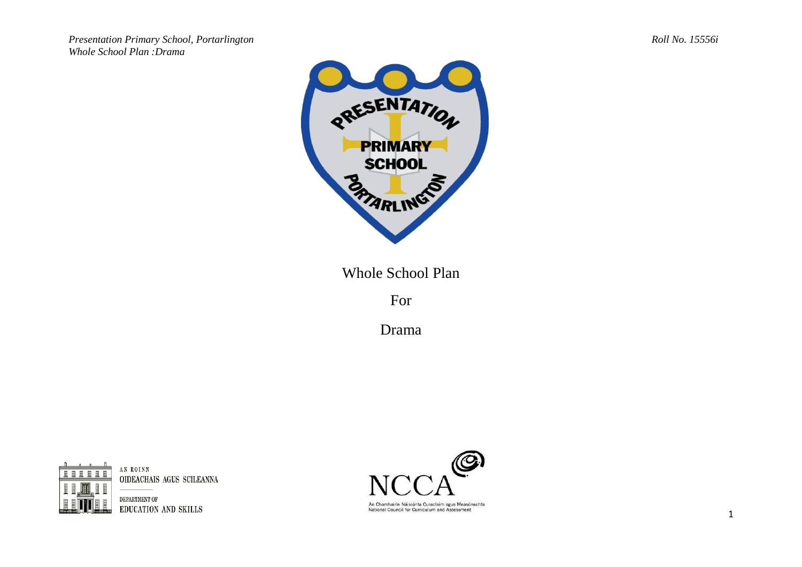*Presentation Primary School, Portarlington Roll No. 15556i Whole School Plan :Drama*



Whole School Plan

For

Drama



AN ROINN OIDEACHAIS AGUS SCILEANNA

DEPARTMENT OF EDUCATION AND SKILLS

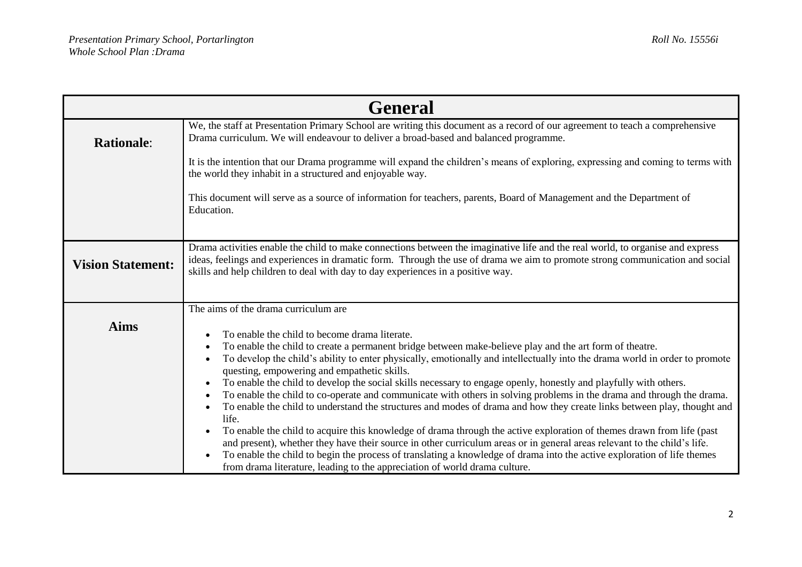| <b>General</b>           |                                                                                                                                                                                                                                                                                                                                                                                                                                                                                                                                                                                                                                                                                                                                                                                                                                                                                                                                                                                                                                                                                                                                                                                                                               |  |
|--------------------------|-------------------------------------------------------------------------------------------------------------------------------------------------------------------------------------------------------------------------------------------------------------------------------------------------------------------------------------------------------------------------------------------------------------------------------------------------------------------------------------------------------------------------------------------------------------------------------------------------------------------------------------------------------------------------------------------------------------------------------------------------------------------------------------------------------------------------------------------------------------------------------------------------------------------------------------------------------------------------------------------------------------------------------------------------------------------------------------------------------------------------------------------------------------------------------------------------------------------------------|--|
| <b>Rationale:</b>        | We, the staff at Presentation Primary School are writing this document as a record of our agreement to teach a comprehensive<br>Drama curriculum. We will endeavour to deliver a broad-based and balanced programme.                                                                                                                                                                                                                                                                                                                                                                                                                                                                                                                                                                                                                                                                                                                                                                                                                                                                                                                                                                                                          |  |
|                          | It is the intention that our Drama programme will expand the children's means of exploring, expressing and coming to terms with<br>the world they inhabit in a structured and enjoyable way.                                                                                                                                                                                                                                                                                                                                                                                                                                                                                                                                                                                                                                                                                                                                                                                                                                                                                                                                                                                                                                  |  |
|                          | This document will serve as a source of information for teachers, parents, Board of Management and the Department of<br>Education.                                                                                                                                                                                                                                                                                                                                                                                                                                                                                                                                                                                                                                                                                                                                                                                                                                                                                                                                                                                                                                                                                            |  |
| <b>Vision Statement:</b> | Drama activities enable the child to make connections between the imaginative life and the real world, to organise and express<br>ideas, feelings and experiences in dramatic form. Through the use of drama we aim to promote strong communication and social<br>skills and help children to deal with day to day experiences in a positive way.                                                                                                                                                                                                                                                                                                                                                                                                                                                                                                                                                                                                                                                                                                                                                                                                                                                                             |  |
| <b>Aims</b>              | The aims of the drama curriculum are<br>To enable the child to become drama literate.<br>To enable the child to create a permanent bridge between make-believe play and the art form of theatre.<br>To develop the child's ability to enter physically, emotionally and intellectually into the drama world in order to promote<br>questing, empowering and empathetic skills.<br>To enable the child to develop the social skills necessary to engage openly, honestly and playfully with others.<br>To enable the child to co-operate and communicate with others in solving problems in the drama and through the drama.<br>To enable the child to understand the structures and modes of drama and how they create links between play, thought and<br>life.<br>To enable the child to acquire this knowledge of drama through the active exploration of themes drawn from life (past<br>and present), whether they have their source in other curriculum areas or in general areas relevant to the child's life.<br>To enable the child to begin the process of translating a knowledge of drama into the active exploration of life themes<br>from drama literature, leading to the appreciation of world drama culture. |  |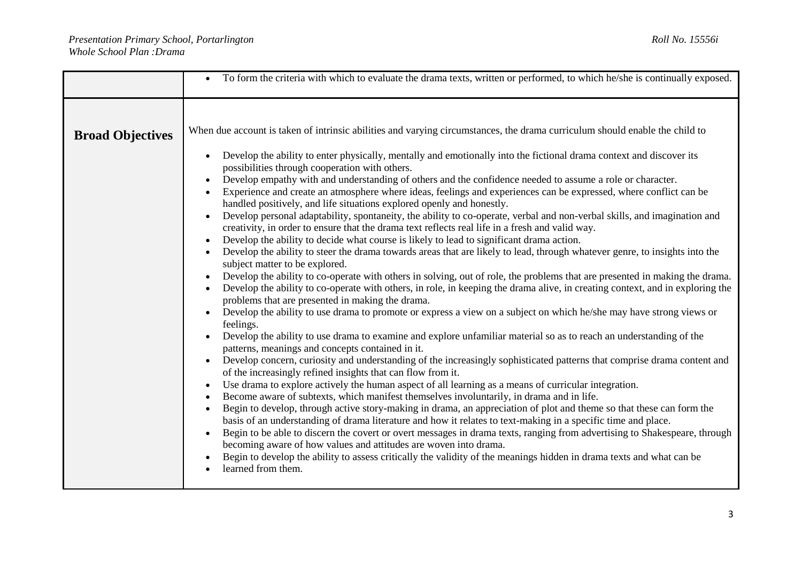|                         | To form the criteria with which to evaluate the drama texts, written or performed, to which he/she is continually exposed.                                                                                                                                                                                                                                                                                                                                                                                                                                                                                                                                                                                                                                                                                                                                                                                                                                                                                                                                                                                                                                                                                                                                                                                                                                                                                                                                                                                                                                                                                                                                                                                                                                                                                                                                                                                                                                                                                                                                                                                                                                                                                                                                                                                                                                                                                                                                                                                                                                                                                                                                                                                                         |
|-------------------------|------------------------------------------------------------------------------------------------------------------------------------------------------------------------------------------------------------------------------------------------------------------------------------------------------------------------------------------------------------------------------------------------------------------------------------------------------------------------------------------------------------------------------------------------------------------------------------------------------------------------------------------------------------------------------------------------------------------------------------------------------------------------------------------------------------------------------------------------------------------------------------------------------------------------------------------------------------------------------------------------------------------------------------------------------------------------------------------------------------------------------------------------------------------------------------------------------------------------------------------------------------------------------------------------------------------------------------------------------------------------------------------------------------------------------------------------------------------------------------------------------------------------------------------------------------------------------------------------------------------------------------------------------------------------------------------------------------------------------------------------------------------------------------------------------------------------------------------------------------------------------------------------------------------------------------------------------------------------------------------------------------------------------------------------------------------------------------------------------------------------------------------------------------------------------------------------------------------------------------------------------------------------------------------------------------------------------------------------------------------------------------------------------------------------------------------------------------------------------------------------------------------------------------------------------------------------------------------------------------------------------------------------------------------------------------------------------------------------------------|
| <b>Broad Objectives</b> | When due account is taken of intrinsic abilities and varying circumstances, the drama curriculum should enable the child to<br>Develop the ability to enter physically, mentally and emotionally into the fictional drama context and discover its<br>possibilities through cooperation with others.<br>Develop empathy with and understanding of others and the confidence needed to assume a role or character.<br>Experience and create an atmosphere where ideas, feelings and experiences can be expressed, where conflict can be<br>handled positively, and life situations explored openly and honestly.<br>Develop personal adaptability, spontaneity, the ability to co-operate, verbal and non-verbal skills, and imagination and<br>creativity, in order to ensure that the drama text reflects real life in a fresh and valid way.<br>Develop the ability to decide what course is likely to lead to significant drama action.<br>Develop the ability to steer the drama towards areas that are likely to lead, through whatever genre, to insights into the<br>subject matter to be explored.<br>Develop the ability to co-operate with others in solving, out of role, the problems that are presented in making the drama.<br>Develop the ability to co-operate with others, in role, in keeping the drama alive, in creating context, and in exploring the<br>problems that are presented in making the drama.<br>Develop the ability to use drama to promote or express a view on a subject on which he/she may have strong views or<br>feelings.<br>Develop the ability to use drama to examine and explore unfamiliar material so as to reach an understanding of the<br>patterns, meanings and concepts contained in it.<br>Develop concern, curiosity and understanding of the increasingly sophisticated patterns that comprise drama content and<br>of the increasingly refined insights that can flow from it.<br>Use drama to explore actively the human aspect of all learning as a means of curricular integration.<br>Become aware of subtexts, which manifest themselves involuntarily, in drama and in life.<br>Begin to develop, through active story-making in drama, an appreciation of plot and theme so that these can form the<br>basis of an understanding of drama literature and how it relates to text-making in a specific time and place.<br>Begin to be able to discern the covert or overt messages in drama texts, ranging from advertising to Shakespeare, through<br>becoming aware of how values and attitudes are woven into drama.<br>Begin to develop the ability to assess critically the validity of the meanings hidden in drama texts and what can be<br>learned from them. |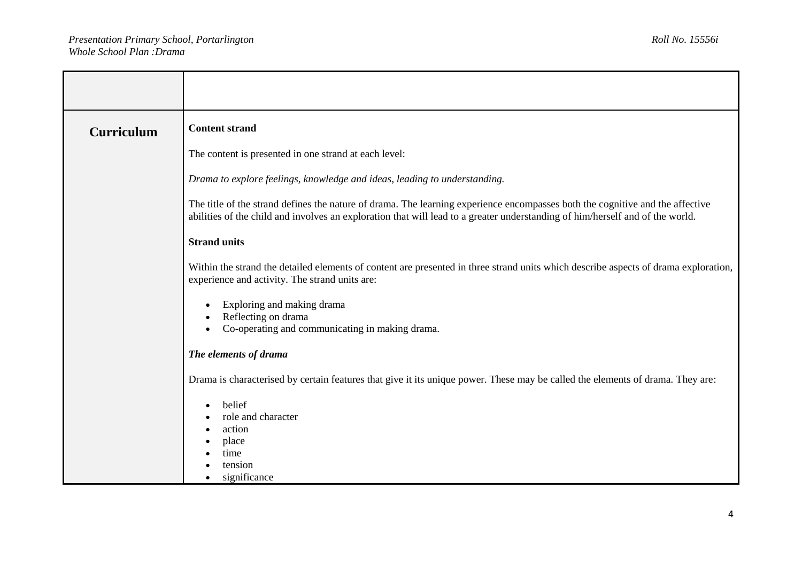| <b>Curriculum</b> | <b>Content strand</b>                                                                                                                                                                                                                                          |
|-------------------|----------------------------------------------------------------------------------------------------------------------------------------------------------------------------------------------------------------------------------------------------------------|
|                   | The content is presented in one strand at each level:                                                                                                                                                                                                          |
|                   | Drama to explore feelings, knowledge and ideas, leading to understanding.                                                                                                                                                                                      |
|                   | The title of the strand defines the nature of drama. The learning experience encompasses both the cognitive and the affective<br>abilities of the child and involves an exploration that will lead to a greater understanding of him/herself and of the world. |
|                   | <b>Strand units</b>                                                                                                                                                                                                                                            |
|                   | Within the strand the detailed elements of content are presented in three strand units which describe aspects of drama exploration,<br>experience and activity. The strand units are:                                                                          |
|                   | Exploring and making drama<br>Reflecting on drama<br>Co-operating and communicating in making drama.                                                                                                                                                           |
|                   | The elements of drama                                                                                                                                                                                                                                          |
|                   | Drama is characterised by certain features that give it its unique power. These may be called the elements of drama. They are:                                                                                                                                 |
|                   | belief<br>role and character<br>action<br>place<br>time<br>tension<br>significance                                                                                                                                                                             |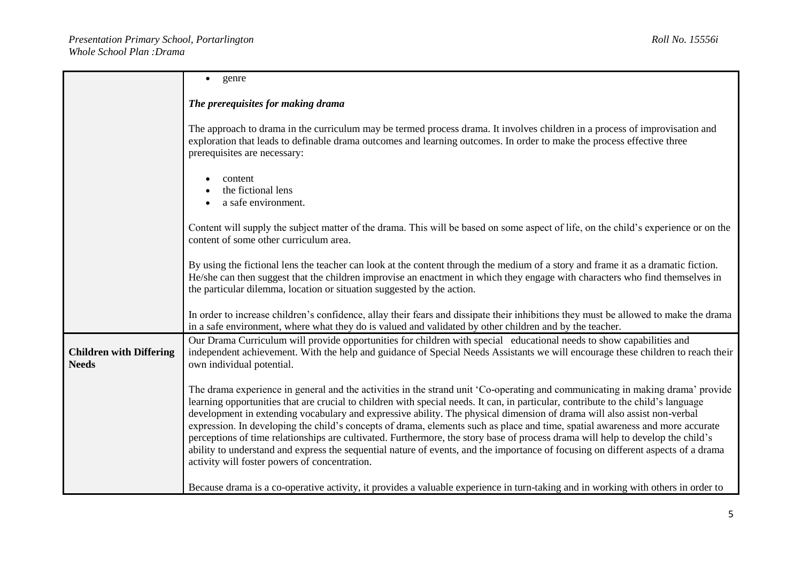|                                                | genre<br>$\bullet$                                                                                                                                                                                                                                                                                                                                                                                                                                                                                                                                                                                                                                                                                                                                                                                                                                       |  |  |
|------------------------------------------------|----------------------------------------------------------------------------------------------------------------------------------------------------------------------------------------------------------------------------------------------------------------------------------------------------------------------------------------------------------------------------------------------------------------------------------------------------------------------------------------------------------------------------------------------------------------------------------------------------------------------------------------------------------------------------------------------------------------------------------------------------------------------------------------------------------------------------------------------------------|--|--|
|                                                |                                                                                                                                                                                                                                                                                                                                                                                                                                                                                                                                                                                                                                                                                                                                                                                                                                                          |  |  |
|                                                | The prerequisites for making drama                                                                                                                                                                                                                                                                                                                                                                                                                                                                                                                                                                                                                                                                                                                                                                                                                       |  |  |
|                                                | The approach to drama in the curriculum may be termed process drama. It involves children in a process of improvisation and<br>exploration that leads to definable drama outcomes and learning outcomes. In order to make the process effective three<br>prerequisites are necessary:                                                                                                                                                                                                                                                                                                                                                                                                                                                                                                                                                                    |  |  |
|                                                | content<br>the fictional lens<br>a safe environment.                                                                                                                                                                                                                                                                                                                                                                                                                                                                                                                                                                                                                                                                                                                                                                                                     |  |  |
|                                                | Content will supply the subject matter of the drama. This will be based on some aspect of life, on the child's experience or on the<br>content of some other curriculum area.                                                                                                                                                                                                                                                                                                                                                                                                                                                                                                                                                                                                                                                                            |  |  |
|                                                | By using the fictional lens the teacher can look at the content through the medium of a story and frame it as a dramatic fiction.<br>He/she can then suggest that the children improvise an enactment in which they engage with characters who find themselves in<br>the particular dilemma, location or situation suggested by the action.                                                                                                                                                                                                                                                                                                                                                                                                                                                                                                              |  |  |
|                                                | In order to increase children's confidence, allay their fears and dissipate their inhibitions they must be allowed to make the drama<br>in a safe environment, where what they do is valued and validated by other children and by the teacher.                                                                                                                                                                                                                                                                                                                                                                                                                                                                                                                                                                                                          |  |  |
| <b>Children with Differing</b><br><b>Needs</b> | Our Drama Curriculum will provide opportunities for children with special educational needs to show capabilities and<br>independent achievement. With the help and guidance of Special Needs Assistants we will encourage these children to reach their<br>own individual potential.                                                                                                                                                                                                                                                                                                                                                                                                                                                                                                                                                                     |  |  |
|                                                | The drama experience in general and the activities in the strand unit 'Co-operating and communicating in making drama' provide<br>learning opportunities that are crucial to children with special needs. It can, in particular, contribute to the child's language<br>development in extending vocabulary and expressive ability. The physical dimension of drama will also assist non-verbal<br>expression. In developing the child's concepts of drama, elements such as place and time, spatial awareness and more accurate<br>perceptions of time relationships are cultivated. Furthermore, the story base of process drama will help to develop the child's<br>ability to understand and express the sequential nature of events, and the importance of focusing on different aspects of a drama<br>activity will foster powers of concentration. |  |  |
|                                                | Because drama is a co-operative activity, it provides a valuable experience in turn-taking and in working with others in order to                                                                                                                                                                                                                                                                                                                                                                                                                                                                                                                                                                                                                                                                                                                        |  |  |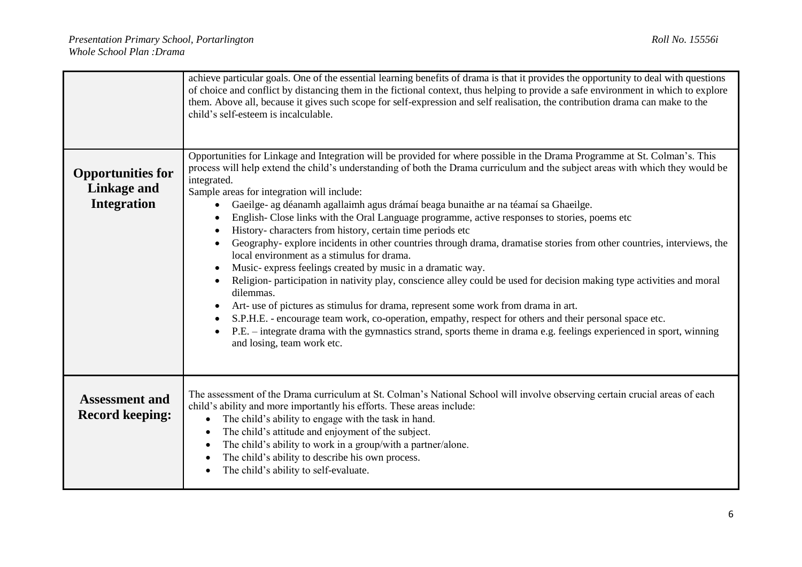|                                                                      | achieve particular goals. One of the essential learning benefits of drama is that it provides the opportunity to deal with questions<br>of choice and conflict by distancing them in the fictional context, thus helping to provide a safe environment in which to explore<br>them. Above all, because it gives such scope for self-expression and self realisation, the contribution drama can make to the<br>child's self-esteem is incalculable.                                                                                                                                                                                                                                                                                                                                                                                                                                                                                                                                                                                                                                                                                                                                                                                                                                                              |
|----------------------------------------------------------------------|------------------------------------------------------------------------------------------------------------------------------------------------------------------------------------------------------------------------------------------------------------------------------------------------------------------------------------------------------------------------------------------------------------------------------------------------------------------------------------------------------------------------------------------------------------------------------------------------------------------------------------------------------------------------------------------------------------------------------------------------------------------------------------------------------------------------------------------------------------------------------------------------------------------------------------------------------------------------------------------------------------------------------------------------------------------------------------------------------------------------------------------------------------------------------------------------------------------------------------------------------------------------------------------------------------------|
| <b>Opportunities for</b><br><b>Linkage and</b><br><b>Integration</b> | Opportunities for Linkage and Integration will be provided for where possible in the Drama Programme at St. Colman's. This<br>process will help extend the child's understanding of both the Drama curriculum and the subject areas with which they would be<br>integrated.<br>Sample areas for integration will include:<br>Gaeilge- ag déanamh agallaimh agus drámaí beaga bunaithe ar na téamaí sa Ghaeilge.<br>English-Close links with the Oral Language programme, active responses to stories, poems etc<br>History-characters from history, certain time periods etc<br>Geography- explore incidents in other countries through drama, dramatise stories from other countries, interviews, the<br>local environment as a stimulus for drama.<br>Music-express feelings created by music in a dramatic way.<br>Religion- participation in nativity play, conscience alley could be used for decision making type activities and moral<br>dilemmas.<br>Art- use of pictures as stimulus for drama, represent some work from drama in art.<br>S.P.H.E. - encourage team work, co-operation, empathy, respect for others and their personal space etc.<br>P.E. – integrate drama with the gymnastics strand, sports theme in drama e.g. feelings experienced in sport, winning<br>and losing, team work etc. |
| <b>Assessment and</b><br><b>Record keeping:</b>                      | The assessment of the Drama curriculum at St. Colman's National School will involve observing certain crucial areas of each<br>child's ability and more importantly his efforts. These areas include:<br>The child's ability to engage with the task in hand.<br>$\bullet$<br>The child's attitude and enjoyment of the subject.<br>The child's ability to work in a group/with a partner/alone.<br>The child's ability to describe his own process.<br>The child's ability to self-evaluate.                                                                                                                                                                                                                                                                                                                                                                                                                                                                                                                                                                                                                                                                                                                                                                                                                    |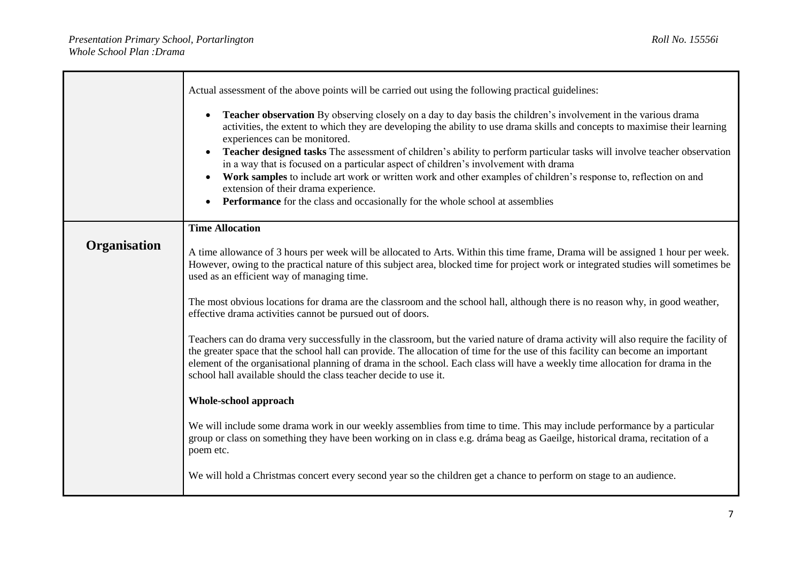|              | Actual assessment of the above points will be carried out using the following practical guidelines:                                                                                                                                                                                                                                                                                                                                                                                                                                                                                                                                                                                                                                                    |
|--------------|--------------------------------------------------------------------------------------------------------------------------------------------------------------------------------------------------------------------------------------------------------------------------------------------------------------------------------------------------------------------------------------------------------------------------------------------------------------------------------------------------------------------------------------------------------------------------------------------------------------------------------------------------------------------------------------------------------------------------------------------------------|
|              | Teacher observation By observing closely on a day to day basis the children's involvement in the various drama<br>activities, the extent to which they are developing the ability to use drama skills and concepts to maximise their learning<br>experiences can be monitored.<br><b>Teacher designed tasks</b> The assessment of children's ability to perform particular tasks will involve teacher observation<br>in a way that is focused on a particular aspect of children's involvement with drama<br>Work samples to include art work or written work and other examples of children's response to, reflection on and<br>extension of their drama experience.<br>Performance for the class and occasionally for the whole school at assemblies |
|              | <b>Time Allocation</b>                                                                                                                                                                                                                                                                                                                                                                                                                                                                                                                                                                                                                                                                                                                                 |
| Organisation | A time allowance of 3 hours per week will be allocated to Arts. Within this time frame, Drama will be assigned 1 hour per week.<br>However, owing to the practical nature of this subject area, blocked time for project work or integrated studies will sometimes be<br>used as an efficient way of managing time.                                                                                                                                                                                                                                                                                                                                                                                                                                    |
|              | The most obvious locations for drama are the classroom and the school hall, although there is no reason why, in good weather,<br>effective drama activities cannot be pursued out of doors.                                                                                                                                                                                                                                                                                                                                                                                                                                                                                                                                                            |
|              | Teachers can do drama very successfully in the classroom, but the varied nature of drama activity will also require the facility of<br>the greater space that the school hall can provide. The allocation of time for the use of this facility can become an important<br>element of the organisational planning of drama in the school. Each class will have a weekly time allocation for drama in the<br>school hall available should the class teacher decide to use it.                                                                                                                                                                                                                                                                            |
|              | Whole-school approach                                                                                                                                                                                                                                                                                                                                                                                                                                                                                                                                                                                                                                                                                                                                  |
|              | We will include some drama work in our weekly assemblies from time to time. This may include performance by a particular<br>group or class on something they have been working on in class e.g. dráma beag as Gaeilge, historical drama, recitation of a<br>poem etc.                                                                                                                                                                                                                                                                                                                                                                                                                                                                                  |
|              | We will hold a Christmas concert every second year so the children get a chance to perform on stage to an audience.                                                                                                                                                                                                                                                                                                                                                                                                                                                                                                                                                                                                                                    |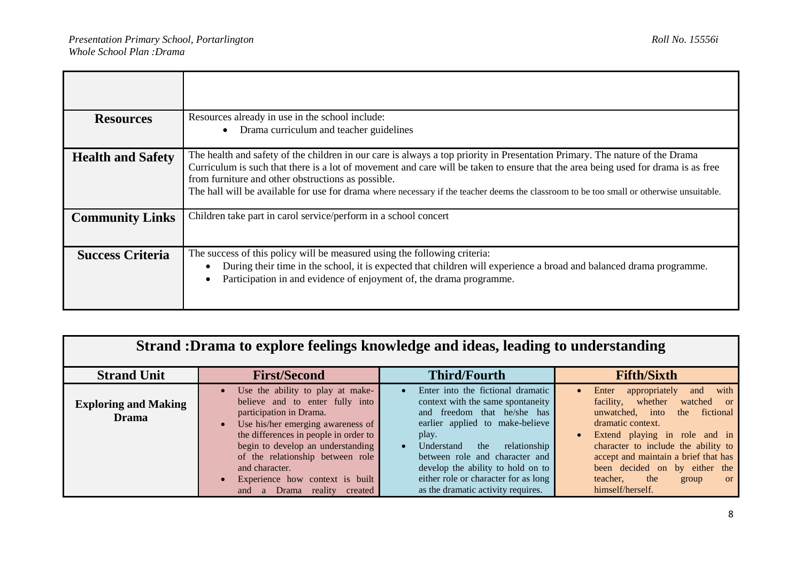| <b>Resources</b>         | Resources already in use in the school include:<br>Drama curriculum and teacher guidelines                                                                                                                                                                                                                                                                                                                                                                         |
|--------------------------|--------------------------------------------------------------------------------------------------------------------------------------------------------------------------------------------------------------------------------------------------------------------------------------------------------------------------------------------------------------------------------------------------------------------------------------------------------------------|
| <b>Health and Safety</b> | The health and safety of the children in our care is always a top priority in Presentation Primary. The nature of the Drama<br>Curriculum is such that there is a lot of movement and care will be taken to ensure that the area being used for drama is as free<br>from furniture and other obstructions as possible.<br>The hall will be available for use for drama where necessary if the teacher deems the classroom to be too small or otherwise unsuitable. |
| <b>Community Links</b>   | Children take part in carol service/perform in a school concert                                                                                                                                                                                                                                                                                                                                                                                                    |
| <b>Success Criteria</b>  | The success of this policy will be measured using the following criteria:<br>During their time in the school, it is expected that children will experience a broad and balanced drama programme.<br>Participation in and evidence of enjoyment of, the drama programme.                                                                                                                                                                                            |

| Strand : Drama to explore feelings knowledge and ideas, leading to understanding |                                                                                                                                                                                                                                                                                                                                                                         |                                                                                                                                                                                                                                                                                                                                             |                                                                                                                                                                                                                                                                                                                                                                        |
|----------------------------------------------------------------------------------|-------------------------------------------------------------------------------------------------------------------------------------------------------------------------------------------------------------------------------------------------------------------------------------------------------------------------------------------------------------------------|---------------------------------------------------------------------------------------------------------------------------------------------------------------------------------------------------------------------------------------------------------------------------------------------------------------------------------------------|------------------------------------------------------------------------------------------------------------------------------------------------------------------------------------------------------------------------------------------------------------------------------------------------------------------------------------------------------------------------|
| <b>Strand Unit</b>                                                               | <b>First/Second</b>                                                                                                                                                                                                                                                                                                                                                     | <b>Third/Fourth</b>                                                                                                                                                                                                                                                                                                                         | <b>Fifth/Sixth</b>                                                                                                                                                                                                                                                                                                                                                     |
| <b>Exploring and Making</b><br><b>Drama</b>                                      | Use the ability to play at make-<br>believe and to enter fully into<br>participation in Drama.<br>Use his/her emerging awareness of<br>the differences in people in order to<br>begin to develop an understanding<br>of the relationship between role<br>and character.<br>Experience how context is built<br><b>Drama</b><br>reality<br>and<br><sub>a</sub><br>created | Enter into the fictional dramatic<br>context with the same spontaneity<br>and freedom that he/she has<br>earlier applied to make-believe<br>play.<br>the<br>relationship<br>Understand<br>between role and character and<br>develop the ability to hold on to<br>either role or character for as long<br>as the dramatic activity requires. | with<br>Enter<br>appropriately<br>and<br>whether<br>facility,<br>watched or<br>unwatched, into<br>fictional<br>the<br>dramatic context.<br>Extend playing in role and in<br>$\bullet$<br>character to include the ability to<br>accept and maintain a brief that has<br>been decided on by either the<br>the<br>teacher,<br>group<br><sub>or</sub><br>himself/herself. |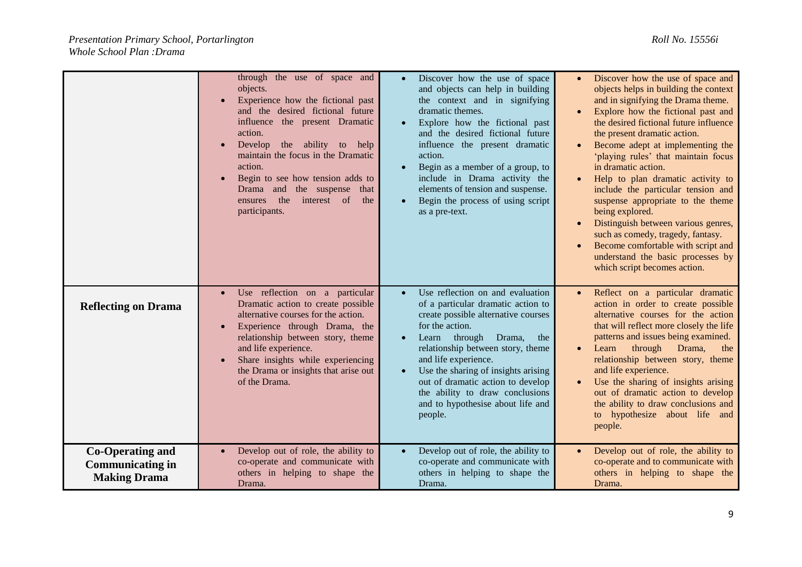|                                                                           | through the use of space and<br>objects.<br>Experience how the fictional past<br>and the desired fictional future<br>influence the present Dramatic<br>action.<br>Develop the ability to help<br>maintain the focus in the Dramatic<br>action.<br>Begin to see how tension adds to<br>Drama and the suspense that<br>ensures the<br>interest of<br>the<br>participants. | Discover how the use of space<br>and objects can help in building<br>the context and in signifying<br>dramatic themes.<br>Explore how the fictional past<br>and the desired fictional future<br>influence the present dramatic<br>action.<br>Begin as a member of a group, to<br>include in Drama activity the<br>elements of tension and suspense.<br>Begin the process of using script<br>as a pre-text. | Discover how the use of space and<br>objects helps in building the context<br>and in signifying the Drama theme.<br>Explore how the fictional past and<br>the desired fictional future influence<br>the present dramatic action.<br>Become adept at implementing the<br>'playing rules' that maintain focus<br>in dramatic action.<br>Help to plan dramatic activity to<br>include the particular tension and<br>suspense appropriate to the theme<br>being explored.<br>Distinguish between various genres,<br>such as comedy, tragedy, fantasy.<br>Become comfortable with script and<br>understand the basic processes by<br>which script becomes action. |
|---------------------------------------------------------------------------|-------------------------------------------------------------------------------------------------------------------------------------------------------------------------------------------------------------------------------------------------------------------------------------------------------------------------------------------------------------------------|------------------------------------------------------------------------------------------------------------------------------------------------------------------------------------------------------------------------------------------------------------------------------------------------------------------------------------------------------------------------------------------------------------|--------------------------------------------------------------------------------------------------------------------------------------------------------------------------------------------------------------------------------------------------------------------------------------------------------------------------------------------------------------------------------------------------------------------------------------------------------------------------------------------------------------------------------------------------------------------------------------------------------------------------------------------------------------|
| <b>Reflecting on Drama</b>                                                | Use reflection on a particular<br>Dramatic action to create possible<br>alternative courses for the action.<br>Experience through Drama, the<br>relationship between story, theme<br>and life experience.<br>Share insights while experiencing<br>the Drama or insights that arise out<br>of the Drama.                                                                 | Use reflection on and evaluation<br>of a particular dramatic action to<br>create possible alternative courses<br>for the action.<br>Learn through Drama,<br>the<br>relationship between story, theme<br>and life experience.<br>Use the sharing of insights arising<br>out of dramatic action to develop<br>the ability to draw conclusions<br>and to hypothesise about life and<br>people.                | Reflect on a particular dramatic<br>action in order to create possible<br>alternative courses for the action<br>that will reflect more closely the life<br>patterns and issues being examined.<br>through<br>Learn<br>Drama,<br>the<br>relationship between story, theme<br>and life experience.<br>Use the sharing of insights arising<br>out of dramatic action to develop<br>the ability to draw conclusions and<br>to hypothesize about life and<br>people.                                                                                                                                                                                              |
| <b>Co-Operating and</b><br><b>Communicating in</b><br><b>Making Drama</b> | Develop out of role, the ability to<br>co-operate and communicate with<br>others in helping to shape the<br>Drama.                                                                                                                                                                                                                                                      | Develop out of role, the ability to<br>co-operate and communicate with<br>others in helping to shape the<br>Drama.                                                                                                                                                                                                                                                                                         | Develop out of role, the ability to<br>co-operate and to communicate with<br>others in helping to shape the<br>Drama.                                                                                                                                                                                                                                                                                                                                                                                                                                                                                                                                        |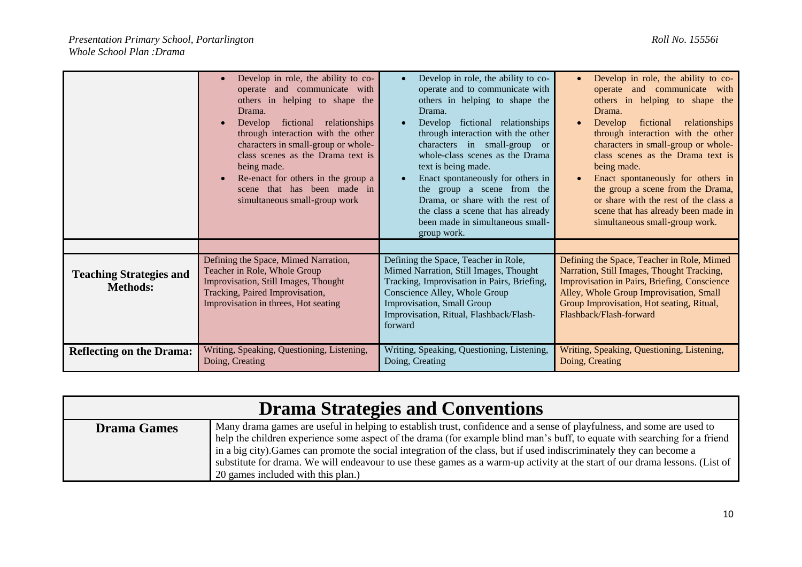|                                                   | Develop in role, the ability to co-<br>operate and communicate with<br>others in helping to shape the<br>Drama.<br>Develop fictional relationships<br>through interaction with the other<br>characters in small-group or whole-<br>class scenes as the Drama text is<br>being made.<br>Re-enact for others in the group a<br>scene that has been made in<br>simultaneous small-group work | Develop in role, the ability to co-<br>operate and to communicate with<br>others in helping to shape the<br>Drama.<br>Develop fictional relationships<br>through interaction with the other<br>characters in small-group or<br>whole-class scenes as the Drama<br>text is being made.<br>Enact spontaneously for others in<br>the group a scene from the<br>Drama, or share with the rest of<br>the class a scene that has already<br>been made in simultaneous small-<br>group work. | Develop in role, the ability to co-<br>operate and communicate<br>with<br>others in helping to shape the<br>Drama.<br>fictional<br>relationships<br>Develop<br>through interaction with the other<br>characters in small-group or whole-<br>class scenes as the Drama text is<br>being made.<br>Enact spontaneously for others in<br>the group a scene from the Drama,<br>or share with the rest of the class a<br>scene that has already been made in<br>simultaneous small-group work. |
|---------------------------------------------------|-------------------------------------------------------------------------------------------------------------------------------------------------------------------------------------------------------------------------------------------------------------------------------------------------------------------------------------------------------------------------------------------|---------------------------------------------------------------------------------------------------------------------------------------------------------------------------------------------------------------------------------------------------------------------------------------------------------------------------------------------------------------------------------------------------------------------------------------------------------------------------------------|------------------------------------------------------------------------------------------------------------------------------------------------------------------------------------------------------------------------------------------------------------------------------------------------------------------------------------------------------------------------------------------------------------------------------------------------------------------------------------------|
| <b>Teaching Strategies and</b><br><b>Methods:</b> | Defining the Space, Mimed Narration,<br>Teacher in Role, Whole Group<br>Improvisation, Still Images, Thought<br>Tracking, Paired Improvisation,<br>Improvisation in threes, Hot seating                                                                                                                                                                                                   | Defining the Space, Teacher in Role,<br>Mimed Narration, Still Images, Thought<br>Tracking, Improvisation in Pairs, Briefing,<br>Conscience Alley, Whole Group<br>Improvisation, Small Group<br>Improvisation, Ritual, Flashback/Flash-<br>forward                                                                                                                                                                                                                                    | Defining the Space, Teacher in Role, Mimed<br>Narration, Still Images, Thought Tracking,<br>Improvisation in Pairs, Briefing, Conscience<br>Alley, Whole Group Improvisation, Small<br>Group Improvisation, Hot seating, Ritual,<br>Flashback/Flash-forward                                                                                                                                                                                                                              |
| <b>Reflecting on the Drama:</b>                   | Writing, Speaking, Questioning, Listening,<br>Doing, Creating                                                                                                                                                                                                                                                                                                                             | Writing, Speaking, Questioning, Listening,<br>Doing, Creating                                                                                                                                                                                                                                                                                                                                                                                                                         | Writing, Speaking, Questioning, Listening,<br>Doing, Creating                                                                                                                                                                                                                                                                                                                                                                                                                            |

|                    | <b>Drama Strategies and Conventions</b>                                                                                                                                                                                                                                                                                                                                                                                                                                                                                                             |
|--------------------|-----------------------------------------------------------------------------------------------------------------------------------------------------------------------------------------------------------------------------------------------------------------------------------------------------------------------------------------------------------------------------------------------------------------------------------------------------------------------------------------------------------------------------------------------------|
| <b>Drama Games</b> | Many drama games are useful in helping to establish trust, confidence and a sense of playfulness, and some are used to<br>help the children experience some aspect of the drama (for example blind man's buff, to equate with searching for a friend<br>in a big city). Games can promote the social integration of the class, but if used indiscriminately they can become a<br>substitute for drama. We will endeavour to use these games as a warm-up activity at the start of our drama lessons. (List of<br>20 games included with this plan.) |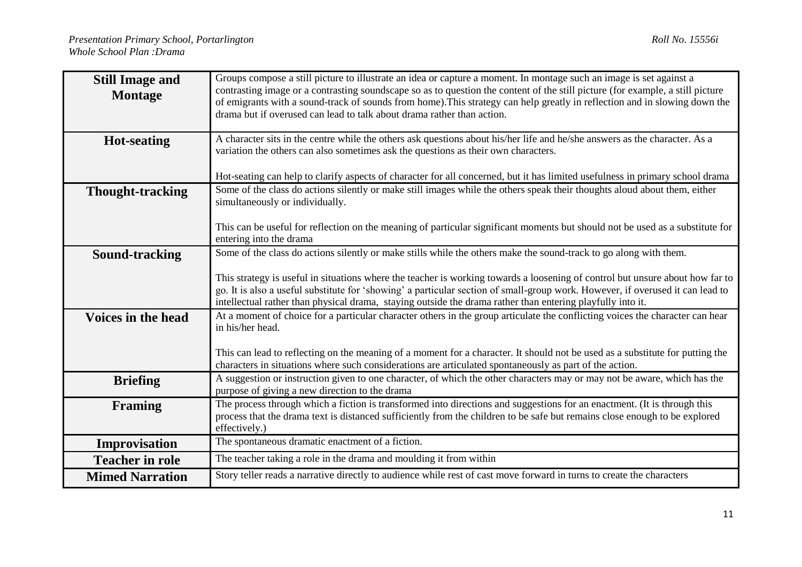| <b>Still Image and</b><br><b>Montage</b> | Groups compose a still picture to illustrate an idea or capture a moment. In montage such an image is set against a<br>contrasting image or a contrasting soundscape so as to question the content of the still picture (for example, a still picture<br>of emigrants with a sound-track of sounds from home). This strategy can help greatly in reflection and in slowing down the<br>drama but if overused can lead to talk about drama rather than action. |  |  |  |
|------------------------------------------|---------------------------------------------------------------------------------------------------------------------------------------------------------------------------------------------------------------------------------------------------------------------------------------------------------------------------------------------------------------------------------------------------------------------------------------------------------------|--|--|--|
| <b>Hot-seating</b>                       | A character sits in the centre while the others ask questions about his/her life and he/she answers as the character. As a<br>variation the others can also sometimes ask the questions as their own characters.                                                                                                                                                                                                                                              |  |  |  |
|                                          | Hot-seating can help to clarify aspects of character for all concerned, but it has limited usefulness in primary school drama                                                                                                                                                                                                                                                                                                                                 |  |  |  |
| <b>Thought-tracking</b>                  | Some of the class do actions silently or make still images while the others speak their thoughts aloud about them, either<br>simultaneously or individually.                                                                                                                                                                                                                                                                                                  |  |  |  |
|                                          | This can be useful for reflection on the meaning of particular significant moments but should not be used as a substitute for<br>entering into the drama                                                                                                                                                                                                                                                                                                      |  |  |  |
| Sound-tracking                           | Some of the class do actions silently or make stills while the others make the sound-track to go along with them.                                                                                                                                                                                                                                                                                                                                             |  |  |  |
|                                          |                                                                                                                                                                                                                                                                                                                                                                                                                                                               |  |  |  |
|                                          | This strategy is useful in situations where the teacher is working towards a loosening of control but unsure about how far to<br>go. It is also a useful substitute for 'showing' a particular section of small-group work. However, if overused it can lead to<br>intellectual rather than physical drama, staying outside the drama rather than entering playfully into it.                                                                                 |  |  |  |
| Voices in the head                       | At a moment of choice for a particular character others in the group articulate the conflicting voices the character can hear<br>in his/her head.                                                                                                                                                                                                                                                                                                             |  |  |  |
|                                          | This can lead to reflecting on the meaning of a moment for a character. It should not be used as a substitute for putting the<br>characters in situations where such considerations are articulated spontaneously as part of the action.                                                                                                                                                                                                                      |  |  |  |
| <b>Briefing</b>                          | A suggestion or instruction given to one character, of which the other characters may or may not be aware, which has the<br>purpose of giving a new direction to the drama                                                                                                                                                                                                                                                                                    |  |  |  |
| <b>Framing</b>                           | The process through which a fiction is transformed into directions and suggestions for an enactment. (It is through this<br>process that the drama text is distanced sufficiently from the children to be safe but remains close enough to be explored<br>effectively.)                                                                                                                                                                                       |  |  |  |
| Improvisation                            | The spontaneous dramatic enactment of a fiction.                                                                                                                                                                                                                                                                                                                                                                                                              |  |  |  |
| <b>Teacher in role</b>                   | The teacher taking a role in the drama and moulding it from within                                                                                                                                                                                                                                                                                                                                                                                            |  |  |  |
| <b>Mimed Narration</b>                   | Story teller reads a narrative directly to audience while rest of cast move forward in turns to create the characters                                                                                                                                                                                                                                                                                                                                         |  |  |  |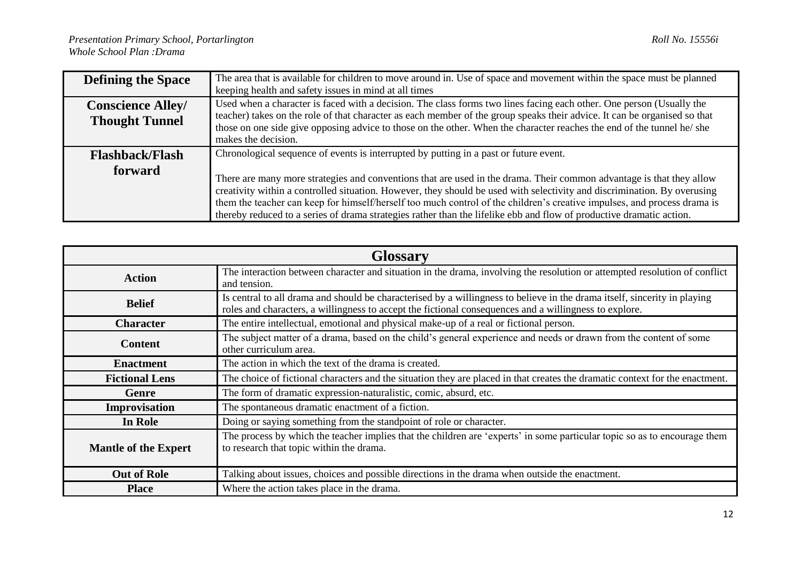| <b>Defining the Space</b>                         | The area that is available for children to move around in. Use of space and movement within the space must be planned<br>keeping health and safety issues in mind at all times                                                                                                                                                                                                                                                                                                                                                                                                                |
|---------------------------------------------------|-----------------------------------------------------------------------------------------------------------------------------------------------------------------------------------------------------------------------------------------------------------------------------------------------------------------------------------------------------------------------------------------------------------------------------------------------------------------------------------------------------------------------------------------------------------------------------------------------|
| <b>Conscience Alley/</b><br><b>Thought Tunnel</b> | Used when a character is faced with a decision. The class forms two lines facing each other. One person (Usually the<br>teacher) takes on the role of that character as each member of the group speaks their advice. It can be organised so that<br>those on one side give opposing advice to those on the other. When the character reaches the end of the tunnel he/she<br>makes the decision.                                                                                                                                                                                             |
| <b>Flashback/Flash</b><br>forward                 | Chronological sequence of events is interrupted by putting in a past or future event.<br>There are many more strategies and conventions that are used in the drama. Their common advantage is that they allow<br>creativity within a controlled situation. However, they should be used with selectivity and discrimination. By overusing<br>them the teacher can keep for himself/herself too much control of the children's creative impulses, and process drama is<br>thereby reduced to a series of drama strategies rather than the lifelike ebb and flow of productive dramatic action. |

| <b>Glossary</b>             |                                                                                                                                                                                                                                     |
|-----------------------------|-------------------------------------------------------------------------------------------------------------------------------------------------------------------------------------------------------------------------------------|
| <b>Action</b>               | The interaction between character and situation in the drama, involving the resolution or attempted resolution of conflict<br>and tension.                                                                                          |
| <b>Belief</b>               | Is central to all drama and should be characterised by a willingness to believe in the drama itself, sincerity in playing<br>roles and characters, a willingness to accept the fictional consequences and a willingness to explore. |
| <b>Character</b>            | The entire intellectual, emotional and physical make-up of a real or fictional person.                                                                                                                                              |
| <b>Content</b>              | The subject matter of a drama, based on the child's general experience and needs or drawn from the content of some<br>other curriculum area.                                                                                        |
| <b>Enactment</b>            | The action in which the text of the drama is created.                                                                                                                                                                               |
| <b>Fictional Lens</b>       | The choice of fictional characters and the situation they are placed in that creates the dramatic context for the enactment.                                                                                                        |
| <b>Genre</b>                | The form of dramatic expression-naturalistic, comic, absurd, etc.                                                                                                                                                                   |
| Improvisation               | The spontaneous dramatic enactment of a fiction.                                                                                                                                                                                    |
| In Role                     | Doing or saying something from the standpoint of role or character.                                                                                                                                                                 |
| <b>Mantle of the Expert</b> | The process by which the teacher implies that the children are 'experts' in some particular topic so as to encourage them<br>to research that topic within the drama.                                                               |
| <b>Out of Role</b>          | Talking about issues, choices and possible directions in the drama when outside the enactment.                                                                                                                                      |
| <b>Place</b>                | Where the action takes place in the drama.                                                                                                                                                                                          |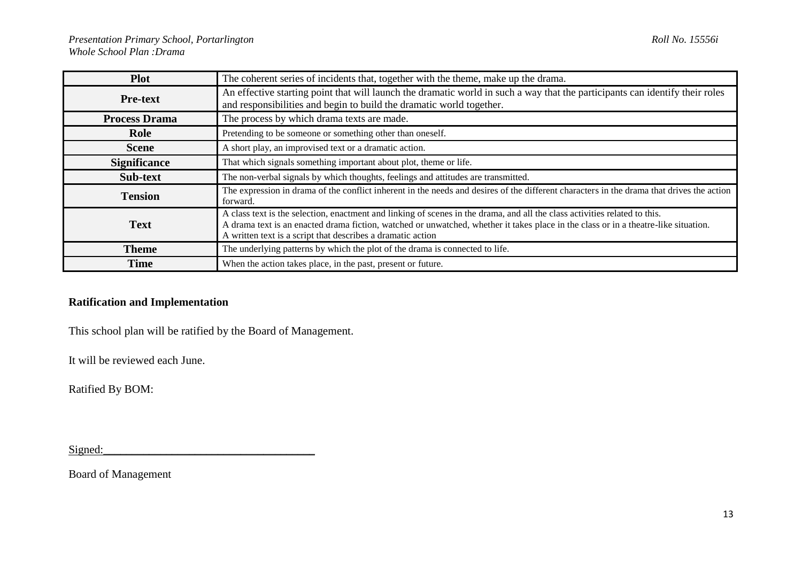| <b>Plot</b>          | The coherent series of incidents that, together with the theme, make up the drama.                                                                                                                                                                                                                                               |
|----------------------|----------------------------------------------------------------------------------------------------------------------------------------------------------------------------------------------------------------------------------------------------------------------------------------------------------------------------------|
| <b>Pre-text</b>      | An effective starting point that will launch the dramatic world in such a way that the participants can identify their roles<br>and responsibilities and begin to build the dramatic world together.                                                                                                                             |
| <b>Process Drama</b> | The process by which drama texts are made.                                                                                                                                                                                                                                                                                       |
| Role                 | Pretending to be someone or something other than oneself.                                                                                                                                                                                                                                                                        |
| <b>Scene</b>         | A short play, an improvised text or a dramatic action.                                                                                                                                                                                                                                                                           |
| <b>Significance</b>  | That which signals something important about plot, theme or life.                                                                                                                                                                                                                                                                |
| Sub-text             | The non-verbal signals by which thoughts, feelings and attitudes are transmitted.                                                                                                                                                                                                                                                |
| <b>Tension</b>       | The expression in drama of the conflict inherent in the needs and desires of the different characters in the drama that drives the action<br>forward.                                                                                                                                                                            |
| <b>Text</b>          | A class text is the selection, enactment and linking of scenes in the drama, and all the class activities related to this.<br>A drama text is an enacted drama fiction, watched or unwatched, whether it takes place in the class or in a theatre-like situation.<br>A written text is a script that describes a dramatic action |
| <b>Theme</b>         | The underlying patterns by which the plot of the drama is connected to life.                                                                                                                                                                                                                                                     |
| <b>Time</b>          | When the action takes place, in the past, present or future.                                                                                                                                                                                                                                                                     |

## **Ratification and Implementation**

This school plan will be ratified by the Board of Management.

It will be reviewed each June.

Ratified By BOM:

 $Signal:$ 

Board of Management